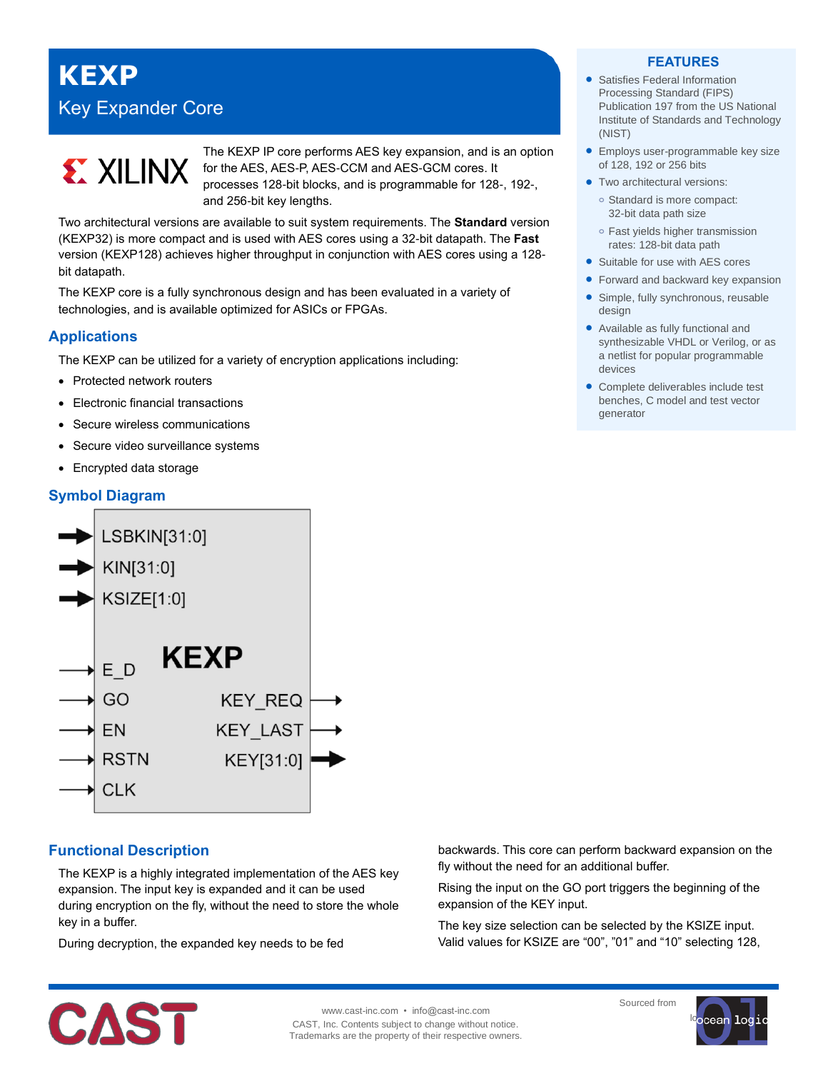# **KEXP** Key Expander Core



The KEXP IP core performs AES key expansion, and is an option for the AES, AES-P, AES-CCM and AES-GCM cores. It processes 128-bit blocks, and is programmable for 128-, 192-, and 256-bit key lengths.

Two architectural versions are available to suit system requirements. The **Standard** version (KEXP32) is more compact and is used with AES cores using a 32-bit datapath. The **Fast** version (KEXP128) achieves higher throughput in conjunction with AES cores using a 128 bit datapath.

The KEXP core is a fully synchronous design and has been evaluated in a variety of technologies, and is available optimized for ASICs or FPGAs.

## **Applications**

The KEXP can be utilized for a variety of encryption applications including:

- Protected network routers
- Electronic financial transactions
- Secure wireless communications
- Secure video surveillance systems
- Encrypted data storage

# **Symbol Diagram**



## **Functional Description**

The KEXP is a highly integrated implementation of the AES key expansion. The input key is expanded and it can be used during encryption on the fly, without the need to store the whole key in a buffer.

During decryption, the expanded key needs to be fed

#### **FEATURES**

- Satisfies Federal Information Processing Standard (FIPS) Publication 197 from the US National Institute of Standards and Technology (NIST)
- **Employs user-programmable key size** of 128, 192 or 256 bits
- Two architectural versions: **o** Standard is more compact: 32-bit data path size
	- **o** Fast yields higher transmission rates: 128-bit data path
- Suitable for use with AES cores
- Forward and backward key expansion
- Simple, fully synchronous, reusable design
- Available as fully functional and synthesizable VHDL or Verilog, or as a netlist for popular programmable devices
- Complete deliverables include test benches, C model and test vector generator

backwards. This core can perform backward expansion on the fly without the need for an additional buffer.

Rising the input on the GO port triggers the beginning of the expansion of the KEY input.

The key size selection can be selected by the KSIZE input. Valid values for KSIZE are "00", "01" and "10" selecting 128,



www.cast-inc.com • info@cast-inc.com CAST, Inc. Contents subject to change without notice. Trademarks are the property of their respective owners. Sourced from